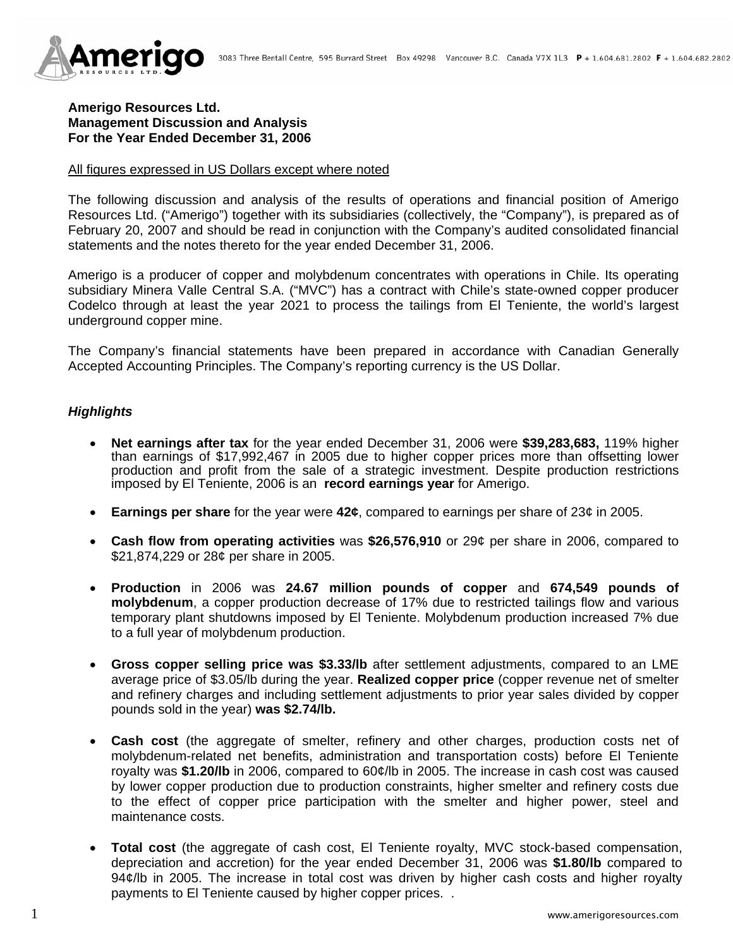

### **Amerigo Resources Ltd. Management Discussion and Analysis For the Year Ended December 31, 2006**

#### All figures expressed in US Dollars except where noted

The following discussion and analysis of the results of operations and financial position of Amerigo Resources Ltd. ("Amerigo") together with its subsidiaries (collectively, the "Company"), is prepared as of February 20, 2007 and should be read in conjunction with the Company's audited consolidated financial statements and the notes thereto for the year ended December 31, 2006.

Amerigo is a producer of copper and molybdenum concentrates with operations in Chile. Its operating subsidiary Minera Valle Central S.A. ("MVC") has a contract with Chile's state-owned copper producer Codelco through at least the year 2021 to process the tailings from El Teniente, the world's largest underground copper mine.

The Company's financial statements have been prepared in accordance with Canadian Generally Accepted Accounting Principles. The Company's reporting currency is the US Dollar.

### *Highlights*

- **Net earnings after tax** for the year ended December 31, 2006 were **\$39,283,683,** 119% higher than earnings of \$17,992,467 in 2005 due to higher copper prices more than offsetting lower production and profit from the sale of a strategic investment. Despite production restrictions imposed by El Teniente, 2006 is an **record earnings year** for Amerigo.
- **Earnings per share** for the year were **42¢**, compared to earnings per share of 23¢ in 2005.
- **Cash flow from operating activities** was **\$26,576,910** or 29¢ per share in 2006, compared to \$21,874,229 or 28¢ per share in 2005.
- **Production** in 2006 was **24.67 million pounds of copper** and **674,549 pounds of molybdenum**, a copper production decrease of 17% due to restricted tailings flow and various temporary plant shutdowns imposed by El Teniente. Molybdenum production increased 7% due to a full year of molybdenum production.
- **Gross copper selling price was \$3.33/lb** after settlement adjustments, compared to an LME average price of \$3.05/lb during the year. **Realized copper price** (copper revenue net of smelter and refinery charges and including settlement adjustments to prior year sales divided by copper pounds sold in the year) **was \$2.74/lb.**
- **Cash cost** (the aggregate of smelter, refinery and other charges, production costs net of molybdenum-related net benefits, administration and transportation costs) before El Teniente royalty was **\$1.20/lb** in 2006, compared to 60¢/lb in 2005. The increase in cash cost was caused by lower copper production due to production constraints, higher smelter and refinery costs due to the effect of copper price participation with the smelter and higher power, steel and maintenance costs.
- **Total cost** (the aggregate of cash cost, El Teniente royalty, MVC stock-based compensation, depreciation and accretion) for the year ended December 31, 2006 was **\$1.80/lb** compared to 94¢/lb in 2005. The increase in total cost was driven by higher cash costs and higher royalty payments to El Teniente caused by higher copper prices. .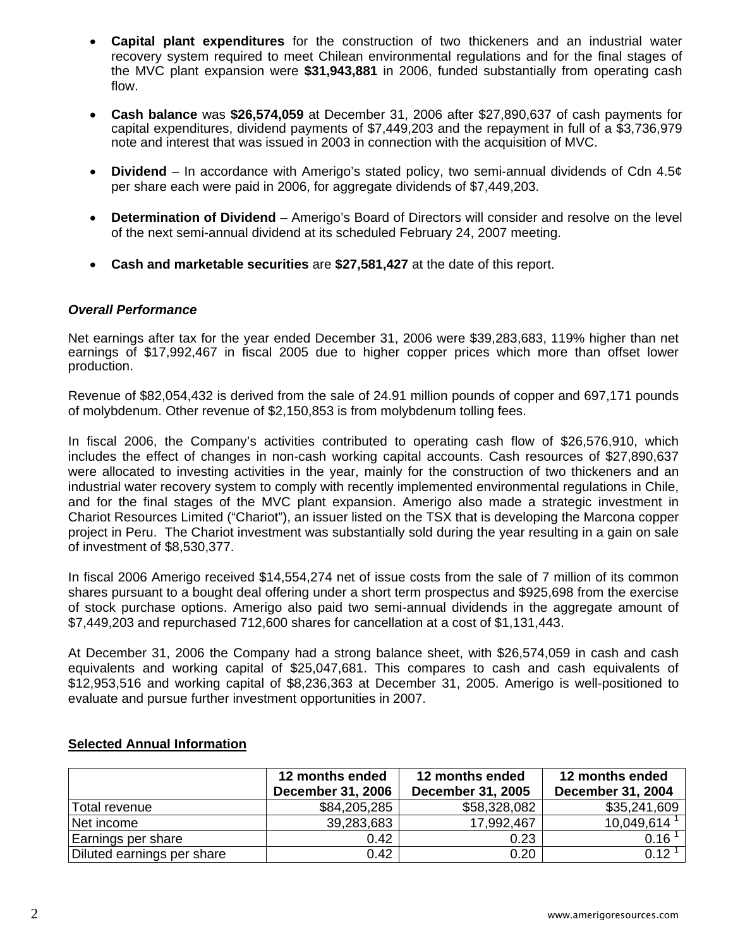- **Capital plant expenditures** for the construction of two thickeners and an industrial water recovery system required to meet Chilean environmental regulations and for the final stages of the MVC plant expansion were **\$31,943,881** in 2006, funded substantially from operating cash flow.
- **Cash balance** was **\$26,574,059** at December 31, 2006 after \$27,890,637 of cash payments for capital expenditures, dividend payments of \$7,449,203 and the repayment in full of a \$3,736,979 note and interest that was issued in 2003 in connection with the acquisition of MVC.
- **Dividend**  In accordance with Amerigo's stated policy, two semi-annual dividends of Cdn 4.5¢ per share each were paid in 2006, for aggregate dividends of \$7,449,203.
- **Determination of Dividend**  Amerigo's Board of Directors will consider and resolve on the level of the next semi-annual dividend at its scheduled February 24, 2007 meeting.
- **Cash and marketable securities** are **\$27,581,427** at the date of this report.

# *Overall Performance*

Net earnings after tax for the year ended December 31, 2006 were \$39,283,683, 119% higher than net earnings of \$17,992,467 in fiscal 2005 due to higher copper prices which more than offset lower production.

Revenue of \$82,054,432 is derived from the sale of 24.91 million pounds of copper and 697,171 pounds of molybdenum. Other revenue of \$2,150,853 is from molybdenum tolling fees.

In fiscal 2006, the Company's activities contributed to operating cash flow of \$26,576,910, which includes the effect of changes in non-cash working capital accounts. Cash resources of \$27,890,637 were allocated to investing activities in the year, mainly for the construction of two thickeners and an industrial water recovery system to comply with recently implemented environmental regulations in Chile, and for the final stages of the MVC plant expansion. Amerigo also made a strategic investment in Chariot Resources Limited ("Chariot"), an issuer listed on the TSX that is developing the Marcona copper project in Peru. The Chariot investment was substantially sold during the year resulting in a gain on sale of investment of \$8,530,377.

In fiscal 2006 Amerigo received \$14,554,274 net of issue costs from the sale of 7 million of its common shares pursuant to a bought deal offering under a short term prospectus and \$925,698 from the exercise of stock purchase options. Amerigo also paid two semi-annual dividends in the aggregate amount of \$7,449,203 and repurchased 712,600 shares for cancellation at a cost of \$1,131,443.

At December 31, 2006 the Company had a strong balance sheet, with \$26,574,059 in cash and cash equivalents and working capital of \$25,047,681. This compares to cash and cash equivalents of \$12,953,516 and working capital of \$8,236,363 at December 31, 2005. Amerigo is well-positioned to evaluate and pursue further investment opportunities in 2007.

|                            | 12 months ended<br><b>December 31, 2006</b> | 12 months ended<br><b>December 31, 2005</b> | 12 months ended<br><b>December 31, 2004</b> |
|----------------------------|---------------------------------------------|---------------------------------------------|---------------------------------------------|
| Total revenue              | \$84,205,285                                | \$58,328,082                                | \$35,241,609                                |
| Net income                 | 39,283,683                                  | 17,992,467                                  | $10,049,614$ <sup>1</sup>                   |
| Earnings per share         | 0.42                                        | 0.23                                        | 0.16 <sup>1</sup>                           |
| Diluted earnings per share | 0.42                                        | 0.20                                        | $0.12^{\circ}$                              |

# **Selected Annual Information**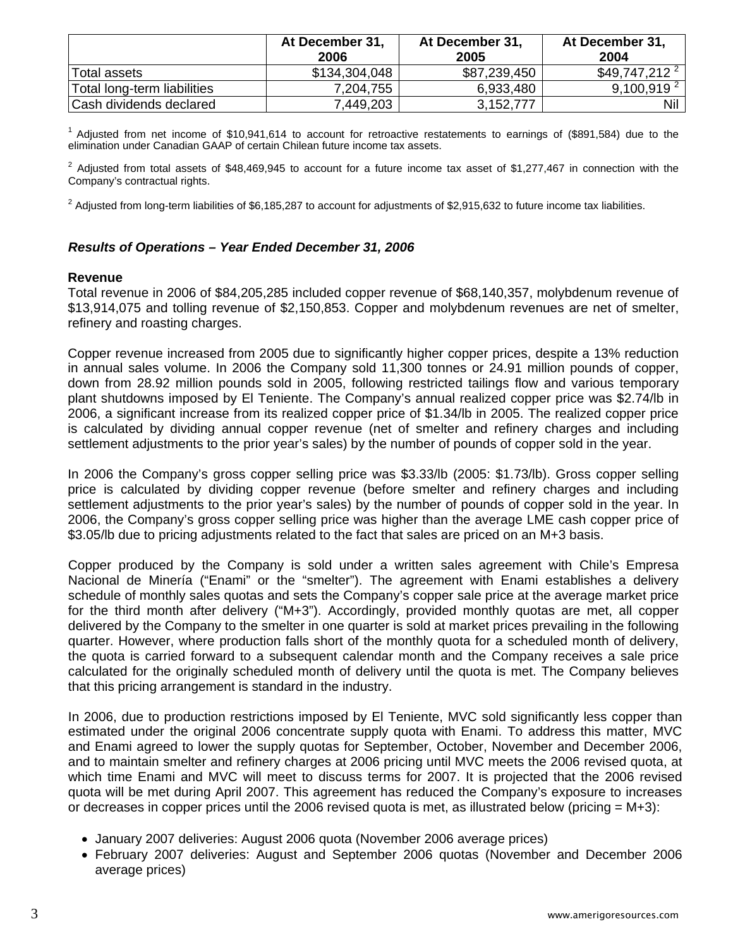|                             | At December 31,<br>2006 | At December 31,<br>2005 | At December 31.<br>2004    |
|-----------------------------|-------------------------|-------------------------|----------------------------|
| Total assets                | \$134,304,048           | \$87,239,450            | $$49,747,212$ <sup>2</sup> |
| Total long-term liabilities | 7,204,755               | 6,933,480               | 9,100,919 <sup>2</sup>     |
| Cash dividends declared     | 7,449,203               | 3,152,777               | Nil                        |

 $1$  Adjusted from net income of \$10,941,614 to account for retroactive restatements to earnings of (\$891,584) due to the elimination under Canadian GAAP of certain Chilean future income tax assets.

 $2$  Adjusted from total assets of \$48,469,945 to account for a future income tax asset of \$1,277,467 in connection with the Company's contractual rights.

 2 <sup>2</sup> Adjusted from long-term liabilities of \$6,185,287 to account for adjustments of \$2,915,632 to future income tax liabilities.

# *Results of Operations – Year Ended December 31, 2006*

#### **Revenue**

Total revenue in 2006 of \$84,205,285 included copper revenue of \$68,140,357, molybdenum revenue of \$13,914,075 and tolling revenue of \$2,150,853. Copper and molybdenum revenues are net of smelter, refinery and roasting charges.

Copper revenue increased from 2005 due to significantly higher copper prices, despite a 13% reduction in annual sales volume. In 2006 the Company sold 11,300 tonnes or 24.91 million pounds of copper, down from 28.92 million pounds sold in 2005, following restricted tailings flow and various temporary plant shutdowns imposed by El Teniente. The Company's annual realized copper price was \$2.74/lb in 2006, a significant increase from its realized copper price of \$1.34/lb in 2005. The realized copper price is calculated by dividing annual copper revenue (net of smelter and refinery charges and including settlement adjustments to the prior year's sales) by the number of pounds of copper sold in the year.

In 2006 the Company's gross copper selling price was \$3.33/lb (2005: \$1.73/lb). Gross copper selling price is calculated by dividing copper revenue (before smelter and refinery charges and including settlement adjustments to the prior year's sales) by the number of pounds of copper sold in the year. In 2006, the Company's gross copper selling price was higher than the average LME cash copper price of \$3.05/lb due to pricing adjustments related to the fact that sales are priced on an M+3 basis.

Copper produced by the Company is sold under a written sales agreement with Chile's Empresa Nacional de Minería ("Enami" or the "smelter"). The agreement with Enami establishes a delivery schedule of monthly sales quotas and sets the Company's copper sale price at the average market price for the third month after delivery ("M+3"). Accordingly, provided monthly quotas are met, all copper delivered by the Company to the smelter in one quarter is sold at market prices prevailing in the following quarter. However, where production falls short of the monthly quota for a scheduled month of delivery, the quota is carried forward to a subsequent calendar month and the Company receives a sale price calculated for the originally scheduled month of delivery until the quota is met. The Company believes that this pricing arrangement is standard in the industry.

In 2006, due to production restrictions imposed by El Teniente, MVC sold significantly less copper than estimated under the original 2006 concentrate supply quota with Enami. To address this matter, MVC and Enami agreed to lower the supply quotas for September, October, November and December 2006, and to maintain smelter and refinery charges at 2006 pricing until MVC meets the 2006 revised quota, at which time Enami and MVC will meet to discuss terms for 2007. It is projected that the 2006 revised quota will be met during April 2007. This agreement has reduced the Company's exposure to increases or decreases in copper prices until the 2006 revised quota is met, as illustrated below (pricing  $= M+3$ ):

- January 2007 deliveries: August 2006 quota (November 2006 average prices)
- February 2007 deliveries: August and September 2006 quotas (November and December 2006 average prices)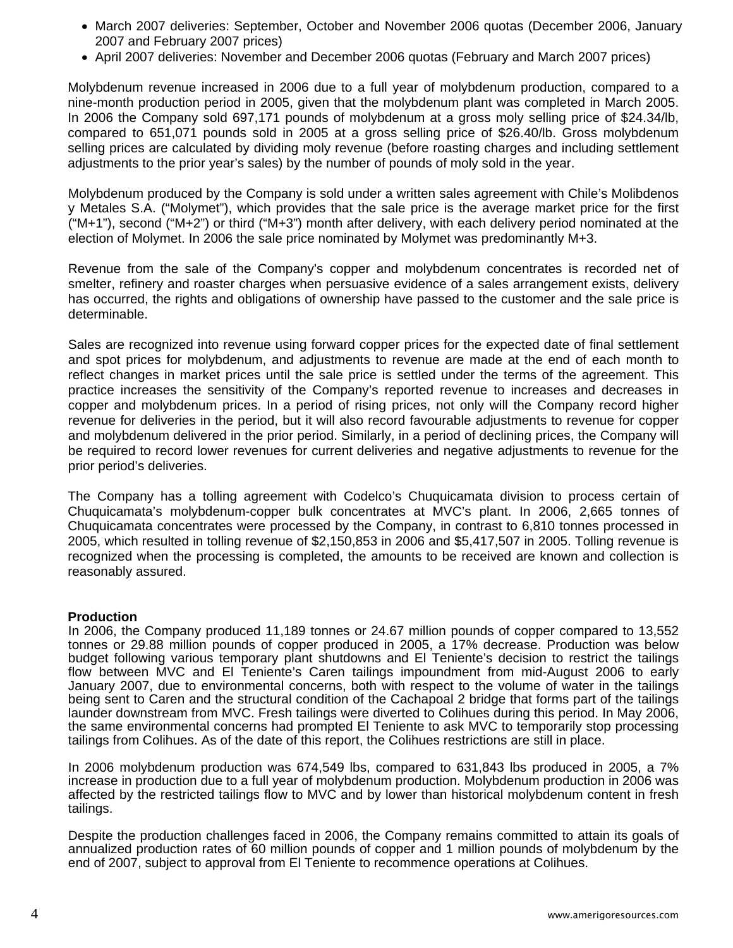- March 2007 deliveries: September, October and November 2006 quotas (December 2006, January 2007 and February 2007 prices)
- April 2007 deliveries: November and December 2006 quotas (February and March 2007 prices)

Molybdenum revenue increased in 2006 due to a full year of molybdenum production, compared to a nine-month production period in 2005, given that the molybdenum plant was completed in March 2005. In 2006 the Company sold 697,171 pounds of molybdenum at a gross moly selling price of \$24.34/lb, compared to 651,071 pounds sold in 2005 at a gross selling price of \$26.40/lb. Gross molybdenum selling prices are calculated by dividing moly revenue (before roasting charges and including settlement adjustments to the prior year's sales) by the number of pounds of moly sold in the year.

Molybdenum produced by the Company is sold under a written sales agreement with Chile's Molibdenos y Metales S.A. ("Molymet"), which provides that the sale price is the average market price for the first ("M+1"), second ("M+2") or third ("M+3") month after delivery, with each delivery period nominated at the election of Molymet. In 2006 the sale price nominated by Molymet was predominantly M+3.

Revenue from the sale of the Company's copper and molybdenum concentrates is recorded net of smelter, refinery and roaster charges when persuasive evidence of a sales arrangement exists, delivery has occurred, the rights and obligations of ownership have passed to the customer and the sale price is determinable.

Sales are recognized into revenue using forward copper prices for the expected date of final settlement and spot prices for molybdenum, and adjustments to revenue are made at the end of each month to reflect changes in market prices until the sale price is settled under the terms of the agreement. This practice increases the sensitivity of the Company's reported revenue to increases and decreases in copper and molybdenum prices. In a period of rising prices, not only will the Company record higher revenue for deliveries in the period, but it will also record favourable adjustments to revenue for copper and molybdenum delivered in the prior period. Similarly, in a period of declining prices, the Company will be required to record lower revenues for current deliveries and negative adjustments to revenue for the prior period's deliveries.

The Company has a tolling agreement with Codelco's Chuquicamata division to process certain of Chuquicamata's molybdenum-copper bulk concentrates at MVC's plant. In 2006, 2,665 tonnes of Chuquicamata concentrates were processed by the Company, in contrast to 6,810 tonnes processed in 2005, which resulted in tolling revenue of \$2,150,853 in 2006 and \$5,417,507 in 2005. Tolling revenue is recognized when the processing is completed, the amounts to be received are known and collection is reasonably assured.

#### **Production**

In 2006, the Company produced 11,189 tonnes or 24.67 million pounds of copper compared to 13,552 tonnes or 29.88 million pounds of copper produced in 2005, a 17% decrease. Production was below budget following various temporary plant shutdowns and El Teniente's decision to restrict the tailings flow between MVC and El Teniente's Caren tailings impoundment from mid-August 2006 to early January 2007, due to environmental concerns, both with respect to the volume of water in the tailings being sent to Caren and the structural condition of the Cachapoal 2 bridge that forms part of the tailings launder downstream from MVC. Fresh tailings were diverted to Colihues during this period. In May 2006, the same environmental concerns had prompted El Teniente to ask MVC to temporarily stop processing tailings from Colihues. As of the date of this report, the Colihues restrictions are still in place.

In 2006 molybdenum production was 674,549 lbs, compared to 631,843 lbs produced in 2005, a 7% increase in production due to a full year of molybdenum production. Molybdenum production in 2006 was affected by the restricted tailings flow to MVC and by lower than historical molybdenum content in fresh tailings.

Despite the production challenges faced in 2006, the Company remains committed to attain its goals of annualized production rates of 60 million pounds of copper and 1 million pounds of molybdenum by the end of 2007, subject to approval from El Teniente to recommence operations at Colihues.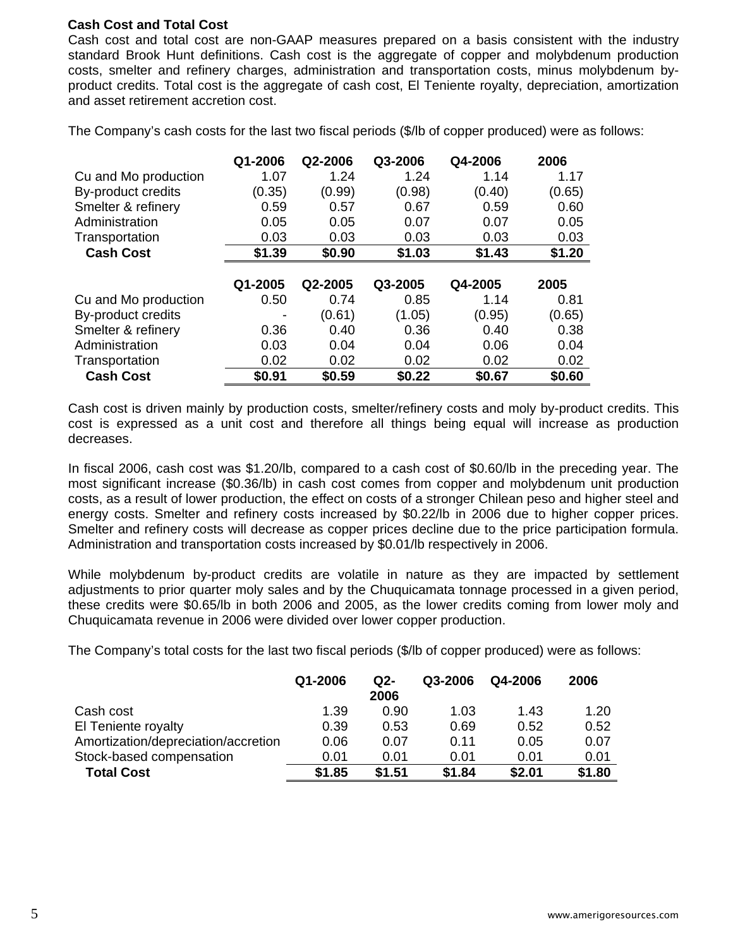# **Cash Cost and Total Cost**

Cash cost and total cost are non-GAAP measures prepared on a basis consistent with the industry standard Brook Hunt definitions. Cash cost is the aggregate of copper and molybdenum production costs, smelter and refinery charges, administration and transportation costs, minus molybdenum byproduct credits. Total cost is the aggregate of cash cost, El Teniente royalty, depreciation, amortization and asset retirement accretion cost.

The Company's cash costs for the last two fiscal periods (\$/lb of copper produced) were as follows:

|                      | Q1-2006 | Q2-2006 | Q3-2006 | Q4-2006 | 2006   |
|----------------------|---------|---------|---------|---------|--------|
| Cu and Mo production | 1.07    | 1.24    | 1.24    | 1.14    | 1.17   |
| By-product credits   | (0.35)  | (0.99)  | (0.98)  | (0.40)  | (0.65) |
| Smelter & refinery   | 0.59    | 0.57    | 0.67    | 0.59    | 0.60   |
| Administration       | 0.05    | 0.05    | 0.07    | 0.07    | 0.05   |
| Transportation       | 0.03    | 0.03    | 0.03    | 0.03    | 0.03   |
| <b>Cash Cost</b>     | \$1.39  | \$0.90  | \$1.03  | \$1.43  | \$1.20 |
|                      |         |         |         |         |        |
|                      | Q1-2005 | Q2-2005 | Q3-2005 | Q4-2005 | 2005   |
| Cu and Mo production | 0.50    | 0.74    | 0.85    | 1.14    | 0.81   |
| By-product credits   |         | (0.61)  | (1.05)  | (0.95)  | (0.65) |
| Smelter & refinery   | 0.36    |         |         |         | 0.38   |
|                      |         | 0.40    | 0.36    | 0.40    |        |
| Administration       | 0.03    | 0.04    | 0.04    | 0.06    | 0.04   |
| Transportation       | 0.02    | 0.02    | 0.02    | 0.02    | 0.02   |

Cash cost is driven mainly by production costs, smelter/refinery costs and moly by-product credits. This cost is expressed as a unit cost and therefore all things being equal will increase as production decreases.

In fiscal 2006, cash cost was \$1.20/lb, compared to a cash cost of \$0.60/lb in the preceding year. The most significant increase (\$0.36/lb) in cash cost comes from copper and molybdenum unit production costs, as a result of lower production, the effect on costs of a stronger Chilean peso and higher steel and energy costs. Smelter and refinery costs increased by \$0.22/lb in 2006 due to higher copper prices. Smelter and refinery costs will decrease as copper prices decline due to the price participation formula. Administration and transportation costs increased by \$0.01/lb respectively in 2006.

While molybdenum by-product credits are volatile in nature as they are impacted by settlement adjustments to prior quarter moly sales and by the Chuquicamata tonnage processed in a given period, these credits were \$0.65/lb in both 2006 and 2005, as the lower credits coming from lower moly and Chuquicamata revenue in 2006 were divided over lower copper production.

The Company's total costs for the last two fiscal periods (\$/lb of copper produced) were as follows:

|                                     | Q1-2006 | Q2-<br>2006 | Q3-2006 | Q4-2006 | 2006   |
|-------------------------------------|---------|-------------|---------|---------|--------|
| Cash cost                           | 1.39    | 0.90        | 1.03    | 1.43    | 1.20   |
| El Teniente royalty                 | 0.39    | 0.53        | 0.69    | 0.52    | 0.52   |
| Amortization/depreciation/accretion | 0.06    | 0.07        | 0.11    | 0.05    | 0.07   |
| Stock-based compensation            | 0.01    | 0.01        | 0.01    | 0.01    | 0.01   |
| <b>Total Cost</b>                   | \$1.85  | \$1.51      | \$1.84  | \$2.01  | \$1.80 |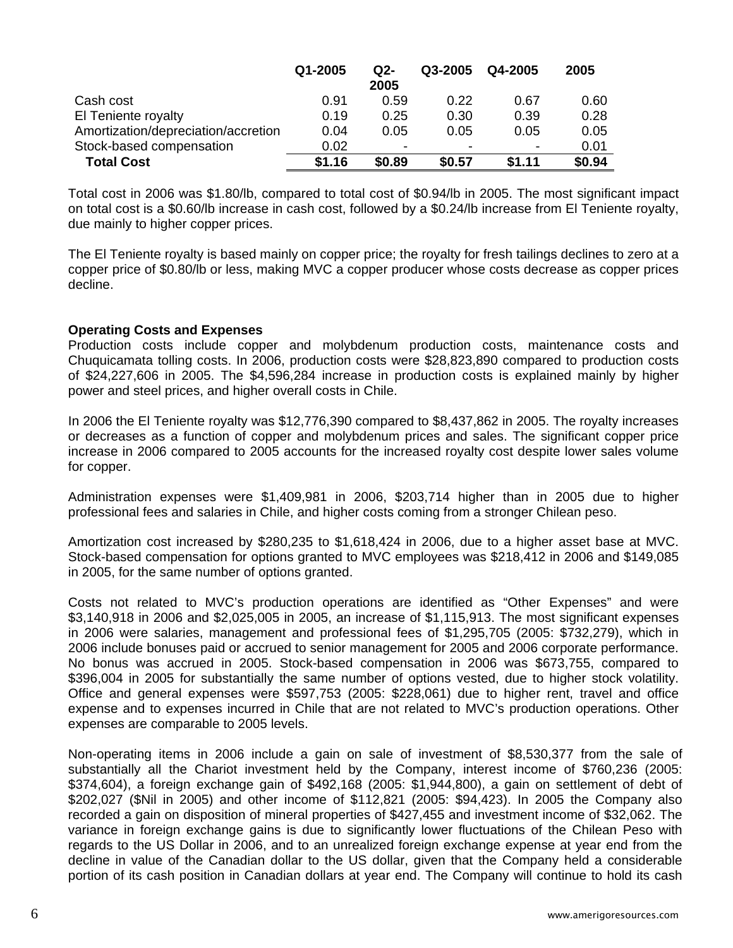|                                     | Q1-2005 | Q2-    | Q3-2005 | Q4-2005 | 2005   |
|-------------------------------------|---------|--------|---------|---------|--------|
|                                     |         | 2005   |         |         |        |
| Cash cost                           | 0.91    | 0.59   | 0.22    | 0.67    | 0.60   |
| El Teniente royalty                 | 0.19    | 0.25   | 0.30    | 0.39    | 0.28   |
| Amortization/depreciation/accretion | 0.04    | 0.05   | 0.05    | 0.05    | 0.05   |
| Stock-based compensation            | 0.02    |        | -       | $\,$    | 0.01   |
| <b>Total Cost</b>                   | \$1.16  | \$0.89 | \$0.57  | \$1.11  | \$0.94 |

Total cost in 2006 was \$1.80/lb, compared to total cost of \$0.94/lb in 2005. The most significant impact on total cost is a \$0.60/lb increase in cash cost, followed by a \$0.24/lb increase from El Teniente royalty, due mainly to higher copper prices.

The El Teniente royalty is based mainly on copper price; the royalty for fresh tailings declines to zero at a copper price of \$0.80/lb or less, making MVC a copper producer whose costs decrease as copper prices decline.

### **Operating Costs and Expenses**

Production costs include copper and molybdenum production costs, maintenance costs and Chuquicamata tolling costs. In 2006, production costs were \$28,823,890 compared to production costs of \$24,227,606 in 2005. The \$4,596,284 increase in production costs is explained mainly by higher power and steel prices, and higher overall costs in Chile.

In 2006 the El Teniente royalty was \$12,776,390 compared to \$8,437,862 in 2005. The royalty increases or decreases as a function of copper and molybdenum prices and sales. The significant copper price increase in 2006 compared to 2005 accounts for the increased royalty cost despite lower sales volume for copper.

Administration expenses were \$1,409,981 in 2006, \$203,714 higher than in 2005 due to higher professional fees and salaries in Chile, and higher costs coming from a stronger Chilean peso.

Amortization cost increased by \$280,235 to \$1,618,424 in 2006, due to a higher asset base at MVC. Stock-based compensation for options granted to MVC employees was \$218,412 in 2006 and \$149,085 in 2005, for the same number of options granted.

Costs not related to MVC's production operations are identified as "Other Expenses" and were \$3,140,918 in 2006 and \$2,025,005 in 2005, an increase of \$1,115,913. The most significant expenses in 2006 were salaries, management and professional fees of \$1,295,705 (2005: \$732,279), which in 2006 include bonuses paid or accrued to senior management for 2005 and 2006 corporate performance. No bonus was accrued in 2005. Stock-based compensation in 2006 was \$673,755, compared to \$396,004 in 2005 for substantially the same number of options vested, due to higher stock volatility. Office and general expenses were \$597,753 (2005: \$228,061) due to higher rent, travel and office expense and to expenses incurred in Chile that are not related to MVC's production operations. Other expenses are comparable to 2005 levels.

Non-operating items in 2006 include a gain on sale of investment of \$8,530,377 from the sale of substantially all the Chariot investment held by the Company, interest income of \$760,236 (2005: \$374,604), a foreign exchange gain of \$492,168 (2005: \$1,944,800), a gain on settlement of debt of \$202,027 (\$Nil in 2005) and other income of \$112,821 (2005: \$94,423). In 2005 the Company also recorded a gain on disposition of mineral properties of \$427,455 and investment income of \$32,062. The variance in foreign exchange gains is due to significantly lower fluctuations of the Chilean Peso with regards to the US Dollar in 2006, and to an unrealized foreign exchange expense at year end from the decline in value of the Canadian dollar to the US dollar, given that the Company held a considerable portion of its cash position in Canadian dollars at year end. The Company will continue to hold its cash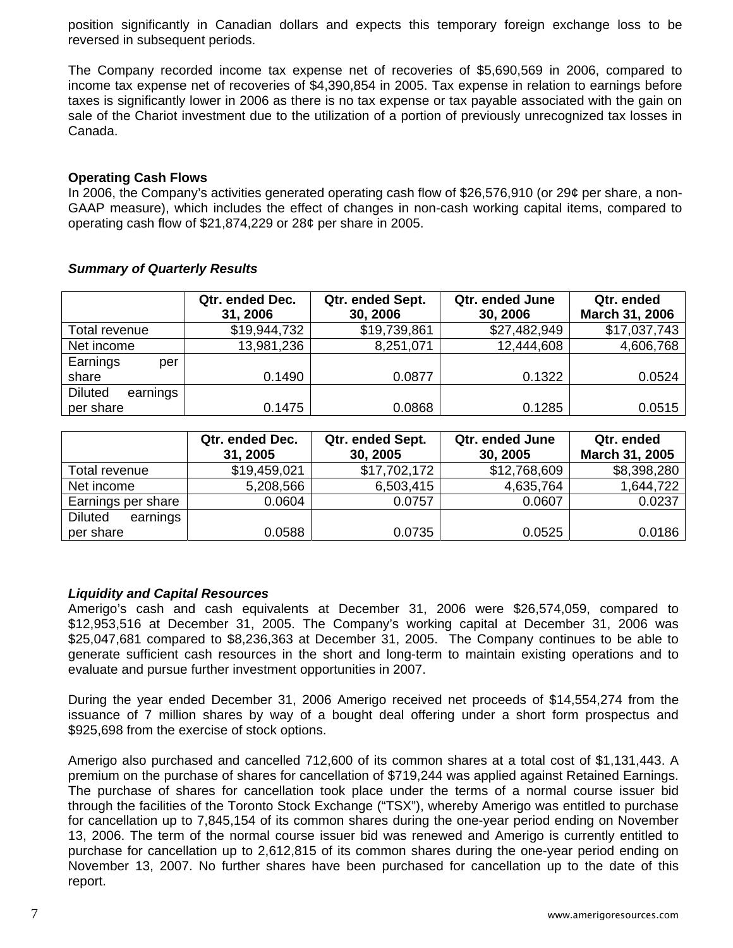position significantly in Canadian dollars and expects this temporary foreign exchange loss to be reversed in subsequent periods.

The Company recorded income tax expense net of recoveries of \$5,690,569 in 2006, compared to income tax expense net of recoveries of \$4,390,854 in 2005. Tax expense in relation to earnings before taxes is significantly lower in 2006 as there is no tax expense or tax payable associated with the gain on sale of the Chariot investment due to the utilization of a portion of previously unrecognized tax losses in Canada.

### **Operating Cash Flows**

In 2006, the Company's activities generated operating cash flow of \$26,576,910 (or 29¢ per share, a non-GAAP measure), which includes the effect of changes in non-cash working capital items, compared to operating cash flow of \$21,874,229 or 28¢ per share in 2005.

|                            | Qtr. ended Dec. | Qtr. ended Sept. | Qtr. ended June | Qtr. ended     |
|----------------------------|-----------------|------------------|-----------------|----------------|
|                            | 31, 2006        | 30, 2006         | 30, 2006        | March 31, 2006 |
| Total revenue              | \$19,944,732    | \$19,739,861     | \$27,482,949    | \$17,037,743   |
| Net income                 | 13,981,236      | 8,251,071        | 12,444,608      | 4,606,768      |
| Earnings<br>per            |                 |                  |                 |                |
| share                      | 0.1490          | 0.0877           | 0.1322          | 0.0524         |
| <b>Diluted</b><br>earnings |                 |                  |                 |                |
| per share                  | 0.1475          | 0.0868           | 0.1285          | 0.0515         |

### *Summary of Quarterly Results*

|                            | Qtr. ended Dec.<br>31, 2005 | Qtr. ended Sept.<br>30, 2005 | Qtr. ended June<br>30, 2005 | Qtr. ended<br>March 31, 2005 |
|----------------------------|-----------------------------|------------------------------|-----------------------------|------------------------------|
| Total revenue              | \$19,459,021                | \$17,702,172                 | \$12,768,609                | \$8,398,280                  |
| Net income                 | 5,208,566                   | 6,503,415                    | 4,635,764                   | 1,644,722                    |
| Earnings per share         | 0.0604                      | 0.0757                       | 0.0607                      | 0.0237                       |
| <b>Diluted</b><br>earnings |                             |                              |                             |                              |
| per share                  | 0.0588                      | 0.0735                       | 0.0525                      | 0.0186                       |

#### *Liquidity and Capital Resources*

Amerigo's cash and cash equivalents at December 31, 2006 were \$26,574,059, compared to \$12,953,516 at December 31, 2005. The Company's working capital at December 31, 2006 was \$25,047,681 compared to \$8,236,363 at December 31, 2005. The Company continues to be able to generate sufficient cash resources in the short and long-term to maintain existing operations and to evaluate and pursue further investment opportunities in 2007.

During the year ended December 31, 2006 Amerigo received net proceeds of \$14,554,274 from the issuance of 7 million shares by way of a bought deal offering under a short form prospectus and \$925,698 from the exercise of stock options.

Amerigo also purchased and cancelled 712,600 of its common shares at a total cost of \$1,131,443. A premium on the purchase of shares for cancellation of \$719,244 was applied against Retained Earnings. The purchase of shares for cancellation took place under the terms of a normal course issuer bid through the facilities of the Toronto Stock Exchange ("TSX"), whereby Amerigo was entitled to purchase for cancellation up to 7,845,154 of its common shares during the one-year period ending on November 13, 2006. The term of the normal course issuer bid was renewed and Amerigo is currently entitled to purchase for cancellation up to 2,612,815 of its common shares during the one-year period ending on November 13, 2007. No further shares have been purchased for cancellation up to the date of this report.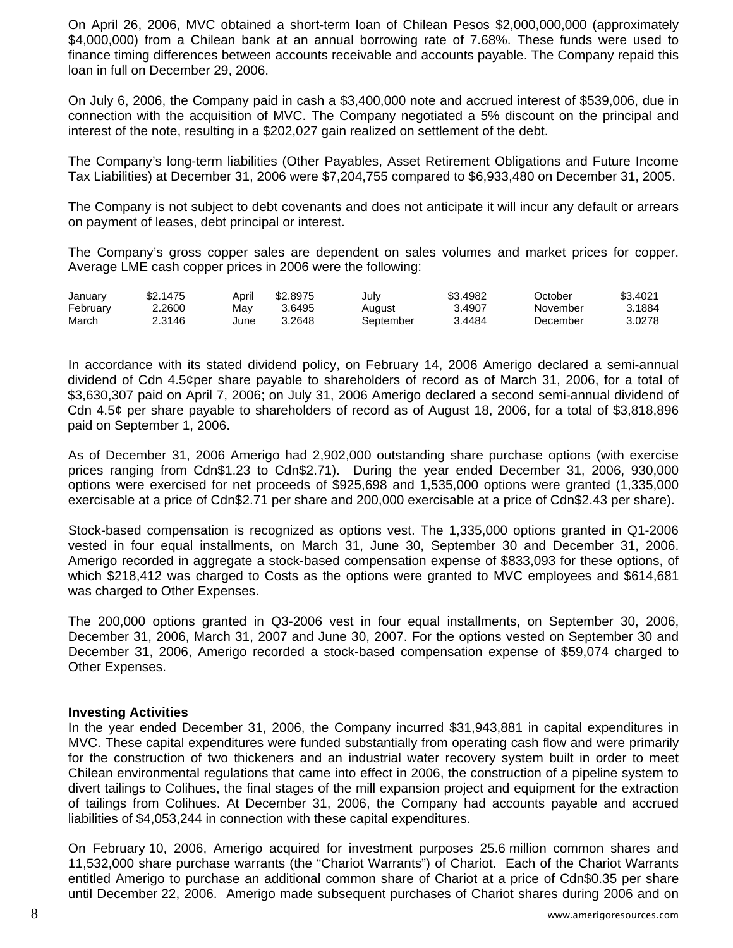On April 26, 2006, MVC obtained a short-term loan of Chilean Pesos \$2,000,000,000 (approximately \$4,000,000) from a Chilean bank at an annual borrowing rate of 7.68%. These funds were used to finance timing differences between accounts receivable and accounts payable. The Company repaid this loan in full on December 29, 2006.

On July 6, 2006, the Company paid in cash a \$3,400,000 note and accrued interest of \$539,006, due in connection with the acquisition of MVC. The Company negotiated a 5% discount on the principal and interest of the note, resulting in a \$202,027 gain realized on settlement of the debt.

The Company's long-term liabilities (Other Payables, Asset Retirement Obligations and Future Income Tax Liabilities) at December 31, 2006 were \$7,204,755 compared to \$6,933,480 on December 31, 2005.

The Company is not subject to debt covenants and does not anticipate it will incur any default or arrears on payment of leases, debt principal or interest.

The Company's gross copper sales are dependent on sales volumes and market prices for copper. Average LME cash copper prices in 2006 were the following:

| January  | \$2.1475 | April | \$2,8975 | July      | \$3.4982 | October  | \$3.4021 |
|----------|----------|-------|----------|-----------|----------|----------|----------|
| February | 2.2600   | Mav   | 3.6495   | August    | 3.4907   | November | 3.1884   |
| March    | ?.3146   | June  | 3.2648   | September | 3.4484   | December | 3.0278   |

In accordance with its stated dividend policy, on February 14, 2006 Amerigo declared a semi-annual dividend of Cdn 4.5¢per share payable to shareholders of record as of March 31, 2006, for a total of \$3,630,307 paid on April 7, 2006; on July 31, 2006 Amerigo declared a second semi-annual dividend of Cdn 4.5¢ per share payable to shareholders of record as of August 18, 2006, for a total of \$3,818,896 paid on September 1, 2006.

As of December 31, 2006 Amerigo had 2,902,000 outstanding share purchase options (with exercise prices ranging from Cdn\$1.23 to Cdn\$2.71). During the year ended December 31, 2006, 930,000 options were exercised for net proceeds of \$925,698 and 1,535,000 options were granted (1,335,000 exercisable at a price of Cdn\$2.71 per share and 200,000 exercisable at a price of Cdn\$2.43 per share).

Stock-based compensation is recognized as options vest. The 1,335,000 options granted in Q1-2006 vested in four equal installments, on March 31, June 30, September 30 and December 31, 2006. Amerigo recorded in aggregate a stock-based compensation expense of \$833,093 for these options, of which \$218,412 was charged to Costs as the options were granted to MVC employees and \$614,681 was charged to Other Expenses.

The 200,000 options granted in Q3-2006 vest in four equal installments, on September 30, 2006, December 31, 2006, March 31, 2007 and June 30, 2007. For the options vested on September 30 and December 31, 2006, Amerigo recorded a stock-based compensation expense of \$59,074 charged to Other Expenses.

#### **Investing Activities**

In the year ended December 31, 2006, the Company incurred \$31,943,881 in capital expenditures in MVC. These capital expenditures were funded substantially from operating cash flow and were primarily for the construction of two thickeners and an industrial water recovery system built in order to meet Chilean environmental regulations that came into effect in 2006, the construction of a pipeline system to divert tailings to Colihues, the final stages of the mill expansion project and equipment for the extraction of tailings from Colihues. At December 31, 2006, the Company had accounts payable and accrued liabilities of \$4,053,244 in connection with these capital expenditures.

On February 10, 2006, Amerigo acquired for investment purposes 25.6 million common shares and 11,532,000 share purchase warrants (the "Chariot Warrants") of Chariot. Each of the Chariot Warrants entitled Amerigo to purchase an additional common share of Chariot at a price of Cdn\$0.35 per share until December 22, 2006. Amerigo made subsequent purchases of Chariot shares during 2006 and on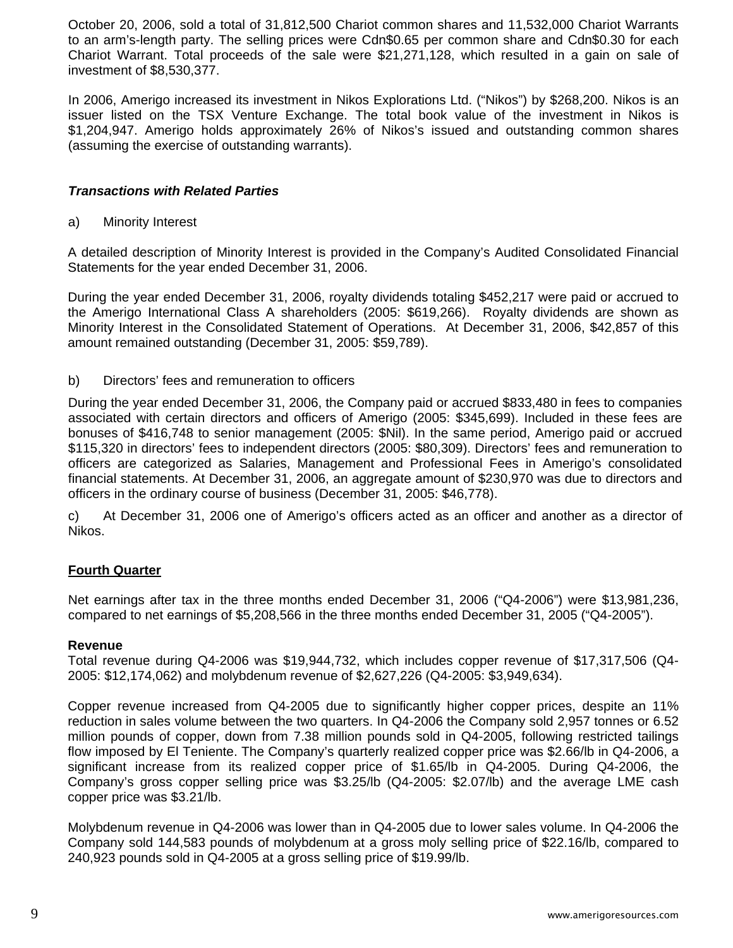October 20, 2006, sold a total of 31,812,500 Chariot common shares and 11,532,000 Chariot Warrants to an arm's-length party. The selling prices were Cdn\$0.65 per common share and Cdn\$0.30 for each Chariot Warrant. Total proceeds of the sale were \$21,271,128, which resulted in a gain on sale of investment of \$8,530,377.

In 2006, Amerigo increased its investment in Nikos Explorations Ltd. ("Nikos") by \$268,200. Nikos is an issuer listed on the TSX Venture Exchange. The total book value of the investment in Nikos is \$1,204,947. Amerigo holds approximately 26% of Nikos's issued and outstanding common shares (assuming the exercise of outstanding warrants).

# *Transactions with Related Parties*

a) Minority Interest

A detailed description of Minority Interest is provided in the Company's Audited Consolidated Financial Statements for the year ended December 31, 2006.

During the year ended December 31, 2006, royalty dividends totaling \$452,217 were paid or accrued to the Amerigo International Class A shareholders (2005: \$619,266). Royalty dividends are shown as Minority Interest in the Consolidated Statement of Operations. At December 31, 2006, \$42,857 of this amount remained outstanding (December 31, 2005: \$59,789).

b) Directors' fees and remuneration to officers

During the year ended December 31, 2006, the Company paid or accrued \$833,480 in fees to companies associated with certain directors and officers of Amerigo (2005: \$345,699). Included in these fees are bonuses of \$416,748 to senior management (2005: \$Nil). In the same period, Amerigo paid or accrued \$115,320 in directors' fees to independent directors (2005: \$80,309). Directors' fees and remuneration to officers are categorized as Salaries, Management and Professional Fees in Amerigo's consolidated financial statements. At December 31, 2006, an aggregate amount of \$230,970 was due to directors and officers in the ordinary course of business (December 31, 2005: \$46,778).

c) At December 31, 2006 one of Amerigo's officers acted as an officer and another as a director of Nikos.

# **Fourth Quarter**

Net earnings after tax in the three months ended December 31, 2006 ("Q4-2006") were \$13,981,236, compared to net earnings of \$5,208,566 in the three months ended December 31, 2005 ("Q4-2005").

# **Revenue**

Total revenue during Q4-2006 was \$19,944,732, which includes copper revenue of \$17,317,506 (Q4- 2005: \$12,174,062) and molybdenum revenue of \$2,627,226 (Q4-2005: \$3,949,634).

Copper revenue increased from Q4-2005 due to significantly higher copper prices, despite an 11% reduction in sales volume between the two quarters. In Q4-2006 the Company sold 2,957 tonnes or 6.52 million pounds of copper, down from 7.38 million pounds sold in Q4-2005, following restricted tailings flow imposed by El Teniente. The Company's quarterly realized copper price was \$2.66/lb in Q4-2006, a significant increase from its realized copper price of \$1.65/lb in Q4-2005. During Q4-2006, the Company's gross copper selling price was \$3.25/lb (Q4-2005: \$2.07/lb) and the average LME cash copper price was \$3.21/lb.

Molybdenum revenue in Q4-2006 was lower than in Q4-2005 due to lower sales volume. In Q4-2006 the Company sold 144,583 pounds of molybdenum at a gross moly selling price of \$22.16/lb, compared to 240,923 pounds sold in Q4-2005 at a gross selling price of \$19.99/lb.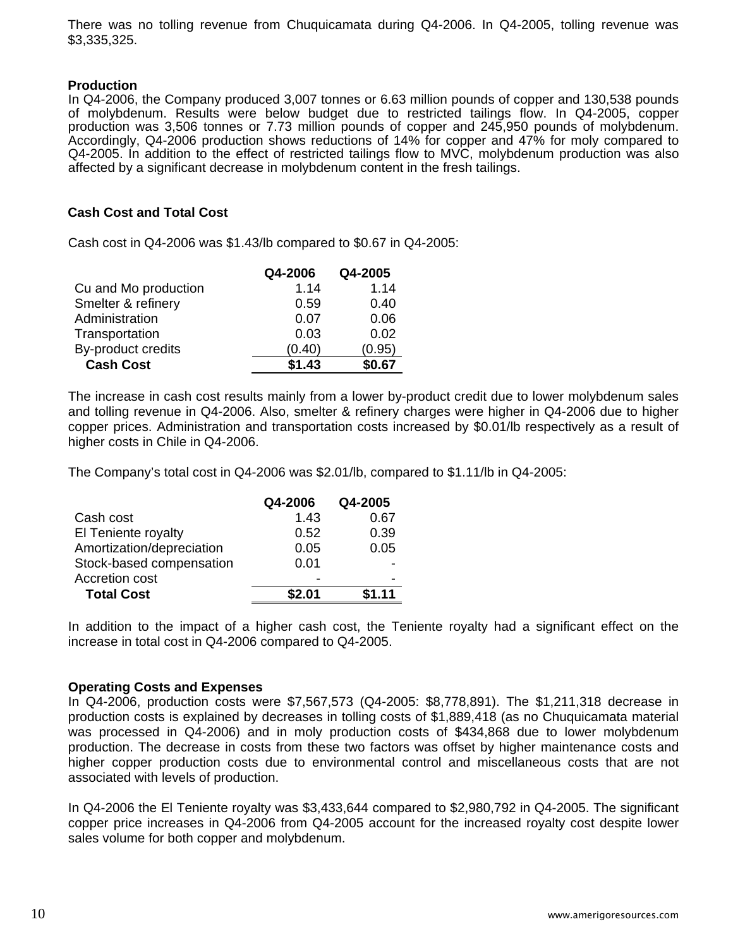There was no tolling revenue from Chuquicamata during Q4-2006. In Q4-2005, tolling revenue was \$3,335,325.

#### **Production**

In Q4-2006, the Company produced 3,007 tonnes or 6.63 million pounds of copper and 130,538 pounds of molybdenum. Results were below budget due to restricted tailings flow. In Q4-2005, copper production was 3,506 tonnes or 7.73 million pounds of copper and 245,950 pounds of molybdenum. Accordingly, Q4-2006 production shows reductions of 14% for copper and 47% for moly compared to Q4-2005. In addition to the effect of restricted tailings flow to MVC, molybdenum production was also affected by a significant decrease in molybdenum content in the fresh tailings.

#### **Cash Cost and Total Cost**

Cash cost in Q4-2006 was \$1.43/lb compared to \$0.67 in Q4-2005:

|                      | Q4-2006 | Q4-2005 |
|----------------------|---------|---------|
| Cu and Mo production | 1.14    | 1.14    |
| Smelter & refinery   | 0.59    | 0.40    |
| Administration       | 0.07    | 0.06    |
| Transportation       | 0.03    | 0.02    |
| By-product credits   | (0.40)  | (0.95)  |
| <b>Cash Cost</b>     | \$1.43  | \$0.67  |

The increase in cash cost results mainly from a lower by-product credit due to lower molybdenum sales and tolling revenue in Q4-2006. Also, smelter & refinery charges were higher in Q4-2006 due to higher copper prices. Administration and transportation costs increased by \$0.01/lb respectively as a result of higher costs in Chile in Q4-2006.

The Company's total cost in Q4-2006 was \$2.01/lb, compared to \$1.11/lb in Q4-2005:

|                           | Q4-2006 | Q4-2005 |
|---------------------------|---------|---------|
| Cash cost                 | 1.43    | 0.67    |
| El Teniente royalty       | 0.52    | 0.39    |
| Amortization/depreciation | 0.05    | 0.05    |
| Stock-based compensation  | 0.01    |         |
| Accretion cost            |         |         |
| <b>Total Cost</b>         | \$2.01  | \$1.11  |

In addition to the impact of a higher cash cost, the Teniente royalty had a significant effect on the increase in total cost in Q4-2006 compared to Q4-2005.

#### **Operating Costs and Expenses**

In Q4-2006, production costs were \$7,567,573 (Q4-2005: \$8,778,891). The \$1,211,318 decrease in production costs is explained by decreases in tolling costs of \$1,889,418 (as no Chuquicamata material was processed in Q4-2006) and in moly production costs of \$434,868 due to lower molybdenum production. The decrease in costs from these two factors was offset by higher maintenance costs and higher copper production costs due to environmental control and miscellaneous costs that are not associated with levels of production.

In Q4-2006 the El Teniente royalty was \$3,433,644 compared to \$2,980,792 in Q4-2005. The significant copper price increases in Q4-2006 from Q4-2005 account for the increased royalty cost despite lower sales volume for both copper and molybdenum.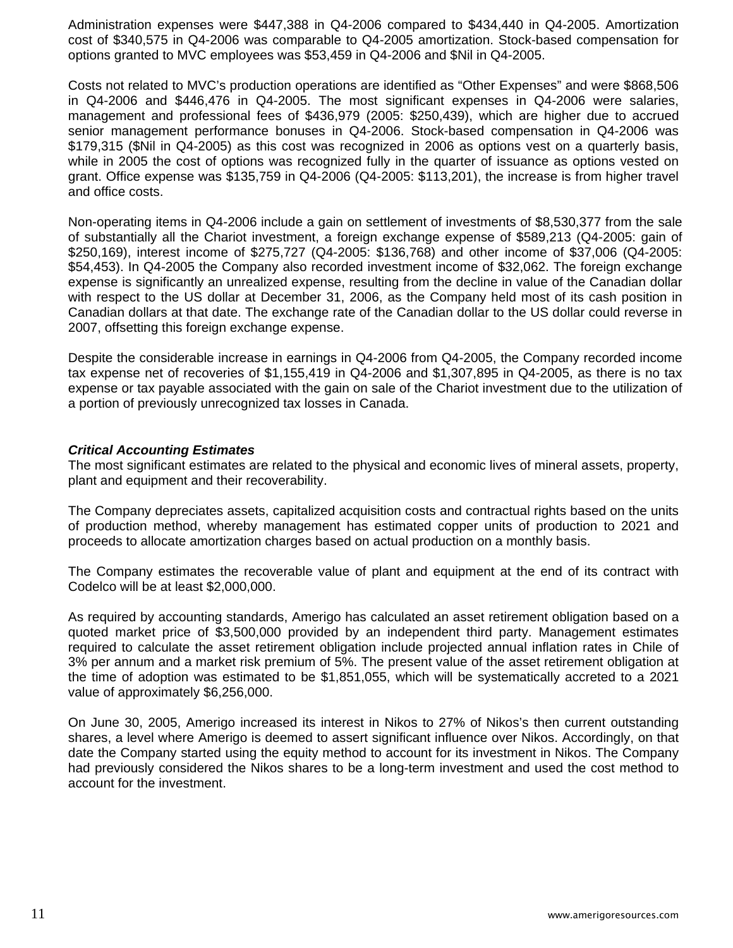Administration expenses were \$447,388 in Q4-2006 compared to \$434,440 in Q4-2005. Amortization cost of \$340,575 in Q4-2006 was comparable to Q4-2005 amortization. Stock-based compensation for options granted to MVC employees was \$53,459 in Q4-2006 and \$Nil in Q4-2005.

Costs not related to MVC's production operations are identified as "Other Expenses" and were \$868,506 in Q4-2006 and \$446,476 in Q4-2005. The most significant expenses in Q4-2006 were salaries, management and professional fees of \$436,979 (2005: \$250,439), which are higher due to accrued senior management performance bonuses in Q4-2006. Stock-based compensation in Q4-2006 was \$179,315 (\$Nil in Q4-2005) as this cost was recognized in 2006 as options vest on a quarterly basis, while in 2005 the cost of options was recognized fully in the quarter of issuance as options vested on grant. Office expense was \$135,759 in Q4-2006 (Q4-2005: \$113,201), the increase is from higher travel and office costs.

Non-operating items in Q4-2006 include a gain on settlement of investments of \$8,530,377 from the sale of substantially all the Chariot investment, a foreign exchange expense of \$589,213 (Q4-2005: gain of \$250,169), interest income of \$275,727 (Q4-2005: \$136,768) and other income of \$37,006 (Q4-2005: \$54,453). In Q4-2005 the Company also recorded investment income of \$32,062. The foreign exchange expense is significantly an unrealized expense, resulting from the decline in value of the Canadian dollar with respect to the US dollar at December 31, 2006, as the Company held most of its cash position in Canadian dollars at that date. The exchange rate of the Canadian dollar to the US dollar could reverse in 2007, offsetting this foreign exchange expense.

Despite the considerable increase in earnings in Q4-2006 from Q4-2005, the Company recorded income tax expense net of recoveries of \$1,155,419 in Q4-2006 and \$1,307,895 in Q4-2005, as there is no tax expense or tax payable associated with the gain on sale of the Chariot investment due to the utilization of a portion of previously unrecognized tax losses in Canada.

### *Critical Accounting Estimates*

The most significant estimates are related to the physical and economic lives of mineral assets, property, plant and equipment and their recoverability.

The Company depreciates assets, capitalized acquisition costs and contractual rights based on the units of production method, whereby management has estimated copper units of production to 2021 and proceeds to allocate amortization charges based on actual production on a monthly basis.

The Company estimates the recoverable value of plant and equipment at the end of its contract with Codelco will be at least \$2,000,000.

As required by accounting standards, Amerigo has calculated an asset retirement obligation based on a quoted market price of \$3,500,000 provided by an independent third party. Management estimates required to calculate the asset retirement obligation include projected annual inflation rates in Chile of 3% per annum and a market risk premium of 5%. The present value of the asset retirement obligation at the time of adoption was estimated to be \$1,851,055, which will be systematically accreted to a 2021 value of approximately \$6,256,000.

On June 30, 2005, Amerigo increased its interest in Nikos to 27% of Nikos's then current outstanding shares, a level where Amerigo is deemed to assert significant influence over Nikos. Accordingly, on that date the Company started using the equity method to account for its investment in Nikos. The Company had previously considered the Nikos shares to be a long-term investment and used the cost method to account for the investment.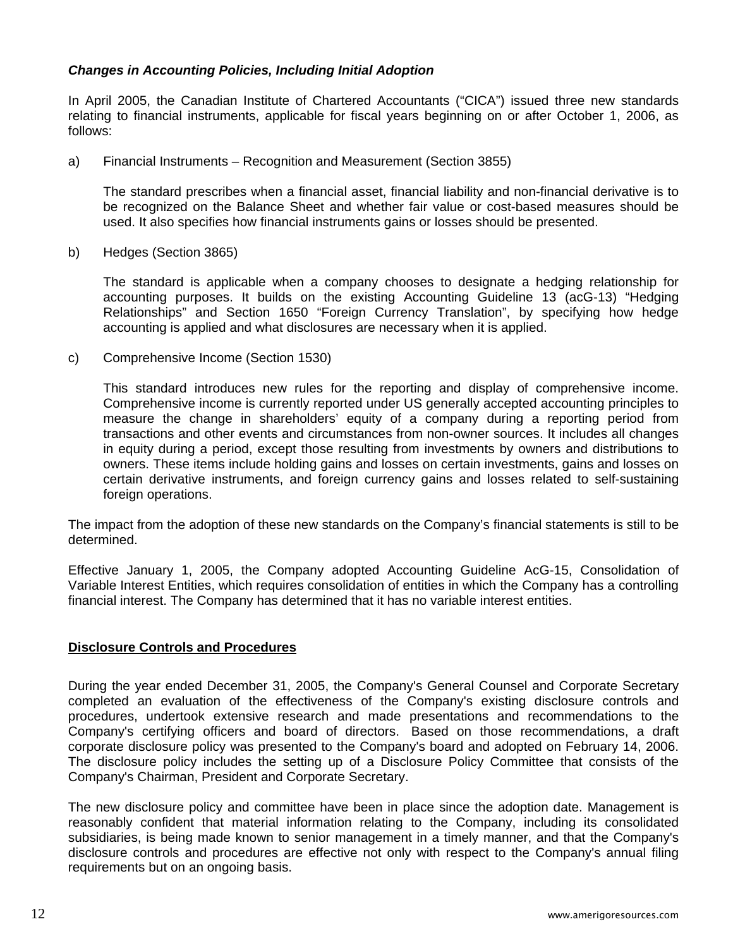# *Changes in Accounting Policies, Including Initial Adoption*

In April 2005, the Canadian Institute of Chartered Accountants ("CICA") issued three new standards relating to financial instruments, applicable for fiscal years beginning on or after October 1, 2006, as follows:

a) Financial Instruments – Recognition and Measurement (Section 3855)

The standard prescribes when a financial asset, financial liability and non-financial derivative is to be recognized on the Balance Sheet and whether fair value or cost-based measures should be used. It also specifies how financial instruments gains or losses should be presented.

b) Hedges (Section 3865)

The standard is applicable when a company chooses to designate a hedging relationship for accounting purposes. It builds on the existing Accounting Guideline 13 (acG-13) "Hedging Relationships" and Section 1650 "Foreign Currency Translation", by specifying how hedge accounting is applied and what disclosures are necessary when it is applied.

c) Comprehensive Income (Section 1530)

This standard introduces new rules for the reporting and display of comprehensive income. Comprehensive income is currently reported under US generally accepted accounting principles to measure the change in shareholders' equity of a company during a reporting period from transactions and other events and circumstances from non-owner sources. It includes all changes in equity during a period, except those resulting from investments by owners and distributions to owners. These items include holding gains and losses on certain investments, gains and losses on certain derivative instruments, and foreign currency gains and losses related to self-sustaining foreign operations.

The impact from the adoption of these new standards on the Company's financial statements is still to be determined.

Effective January 1, 2005, the Company adopted Accounting Guideline AcG-15, Consolidation of Variable Interest Entities, which requires consolidation of entities in which the Company has a controlling financial interest. The Company has determined that it has no variable interest entities.

# **Disclosure Controls and Procedures**

During the year ended December 31, 2005, the Company's General Counsel and Corporate Secretary completed an evaluation of the effectiveness of the Company's existing disclosure controls and procedures, undertook extensive research and made presentations and recommendations to the Company's certifying officers and board of directors. Based on those recommendations, a draft corporate disclosure policy was presented to the Company's board and adopted on February 14, 2006. The disclosure policy includes the setting up of a Disclosure Policy Committee that consists of the Company's Chairman, President and Corporate Secretary.

The new disclosure policy and committee have been in place since the adoption date. Management is reasonably confident that material information relating to the Company, including its consolidated subsidiaries, is being made known to senior management in a timely manner, and that the Company's disclosure controls and procedures are effective not only with respect to the Company's annual filing requirements but on an ongoing basis.